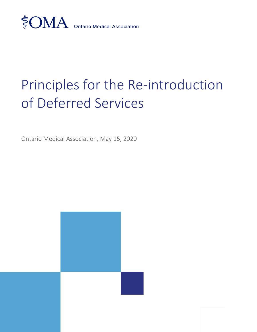

# Principles for the Re-introduction of Deferred Services

Ontario Medical Association, May 15, 2020

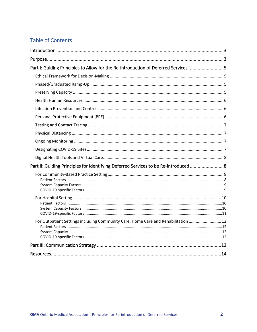# **Table of Contents**

| Part I: Guiding Principles to Allow for the Re-introduction of Deferred Services  5  |  |
|--------------------------------------------------------------------------------------|--|
|                                                                                      |  |
|                                                                                      |  |
|                                                                                      |  |
|                                                                                      |  |
|                                                                                      |  |
|                                                                                      |  |
|                                                                                      |  |
|                                                                                      |  |
|                                                                                      |  |
|                                                                                      |  |
|                                                                                      |  |
| Part II: Guiding Principles for Identifying Deferred Services to be Re-introduced  8 |  |
|                                                                                      |  |
|                                                                                      |  |
|                                                                                      |  |
|                                                                                      |  |
|                                                                                      |  |
|                                                                                      |  |
| For Outpatient Settings including Community Care, Home Care and Rehabilitation  12   |  |
|                                                                                      |  |
|                                                                                      |  |
|                                                                                      |  |
|                                                                                      |  |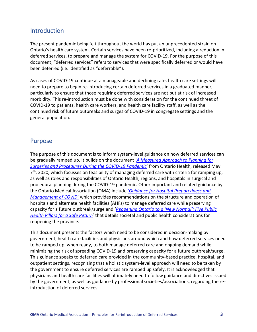# <span id="page-2-0"></span>**Introduction**

The present pandemic being felt throughout the world has put an unprecedented strain on Ontario's health care system. Certain services have been re-prioritized, including a reduction in deferred services, to prepare and manage the system for COVID-19. For the purpose of this document, "deferred services" refers to services that were specifically deferred or would have been deferred (i.e. identified as "deferrable").

As cases of COVID-19 continue at a manageable and declining rate, health care settings will need to prepare to begin re-introducing certain deferred services in a graduated manner, particularly to ensure that those requiring deferred services are not put at risk of increased morbidity. This re-introduction must be done with consideration for the continued threat of COVID-19 to patients, health care workers, and health care facility staff, as well as the continued risk of future outbreaks and surges of COVID-19 in congregate settings and the general population.

## <span id="page-2-1"></span>Purpose

The purpose of this document is to inform system-level guidance on how deferred services can be gradually ramped up. It builds on the document '*[A Measured Approach to Planning for](https://www.ontariohealth.ca/sites/ontariohealth/files/2020-05/A%20Measured%20Approach%20to%20Planning%20for%20Surgeries%20and%20Procedures%20During%20the%20COVID-19%20Pandemic.pdf)  [Surgeries and Procedures During the COVID-19 Pandemic](https://www.ontariohealth.ca/sites/ontariohealth/files/2020-05/A%20Measured%20Approach%20to%20Planning%20for%20Surgeries%20and%20Procedures%20During%20the%20COVID-19%20Pandemic.pdf)*' from Ontario Health, released May 7<sup>th</sup>, 2020, which focusses on feasibility of managing deferred care with criteria for ramping up, as well as roles and responsibilities of Ontario Health, regions, and hospitals in surgical and procedural planning during the COVID-19 pandemic. Other important and related guidance by the Ontario Medical Association (OMA) include '*[Guidance for Hospital Preparedness and](https://content.oma.org/wp-content/uploads/private/Guidance-for-Hospital-Preparedness-and-Management-of-COVID.pdf)  [Management of COVID](https://content.oma.org/wp-content/uploads/private/Guidance-for-Hospital-Preparedness-and-Management-of-COVID.pdf)*' which provides recommendations on the structure and operation of hospitals and alternate health facilities (AHFs) to manage deferred care while preserving capacity for a future outbreak/surge and '*[Reopening Ontario to a 'New Normal': Five Public](https://content.oma.org/wp-content/uploads/private/Reopening-Ontario-5-Public-Health-Pillars.pdf)  [Health Pillars for a Safe Return](https://content.oma.org/wp-content/uploads/private/Reopening-Ontario-5-Public-Health-Pillars.pdf)*' that details societal and public health considerations for reopening the province.

This document presents the factors which need to be considered in decision-making by government, health care facilities and physicians around which and how deferred services need to be ramped up, when ready, to both manage deferred care and ongoing demand while minimizing the risk of spreading COVID-19 and preserving capacity for a future outbreak/surge. This guidance speaks to deferred care provided in the community-based practice, hospital, and outpatient settings, recognizing that a holistic system-level approach will need to be taken by the government to ensure deferred services are ramped up safely. It is acknowledged that physicians and health care facilities will ultimately need to follow guidance and directives issued by the government, as well as guidance by professional societies/associations, regarding the reintroduction of deferred services.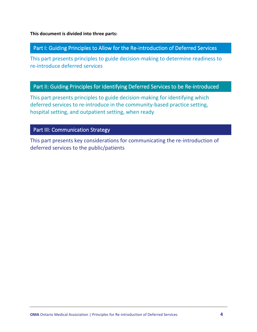**This document is divided into three parts:**

#### Part I: Guiding Principles to Allow for the Re-introduction of Deferred Services

This part presents principles to guide decision-making to determine readiness to re-introduce deferred services Į

## Part II: Guiding Principles for Identifying Deferred Services to be Re-introduced

This part presents principles to guide decision-making for identifying which deferred services to re-introduce in the community-based practice setting, hospital setting, and outpatient setting, when ready l

## Part III: Communication Strategy

This part presents key considerations for communicating the re-introduction of deferred services to the public/patients j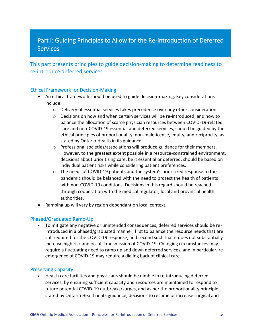# Part I: Guiding Principles to Allow for the Re-introduction of Deferred **Services**

This part presents principles to guide decision-making to determine readiness to re-introduce deferred services

#### <span id="page-4-0"></span>Ethical Framework for Decision-Making

- An ethical framework should be used to guide decision-making. Key considerations include:
	- $\circ$  Delivery of essential services takes precedence over any other consideration.
	- $\circ$  Decisions on how and when certain services will be re-introduced, and how to balance the allocation of scarce physician resources between COVID-19-related care and non-COVID-19 essential and deferred services, should be guided by the ethical principles of proportionality, non-maleficence, equity, and reciprocity, as stated by Ontario Health in its guidance.
	- $\circ$  Professional societies/associations will produce guidance for their members. However, to the greatest extent possible in a resource-constrained environment, decisions about prioritizing care, be it essential or deferred, should be based on individual patient risks while considering patient preferences.
	- o The needs of COVID-19 patients and the system's prioritized response to the pandemic should be balanced with the need to protect the health of patients with non-COVID-19 conditions. Decisions in this regard should be reached through cooperation with the medical regulator, local and provincial health authorities.
- Ramping up will vary by region dependant on local context.

#### <span id="page-4-1"></span>Phased/Graduated Ramp-Up

• To mitigate any negative or unintended consequences, deferred services should be reintroduced in a phased/graduated manner, first to balance the resource needs that are still required for the COVID-19 response, and second such that it does not substantially increase high risk and occult transmission of COVID-19. Changing circumstances may require a fluctuating need to ramp up and down deferred services, and in particular, reemergence of COVID-19 may require a dialing back of clinical care.

#### <span id="page-4-2"></span>Preserving Capacity

• Health care facilities and physicians should be nimble in re-introducing deferred services, by ensuring sufficient capacity and resources are maintained to respond to future potential COVID-19 outbreaks/surges, and as per the proportionality principle stated by Ontario Health in its guidance, decisions to resume or increase surgical and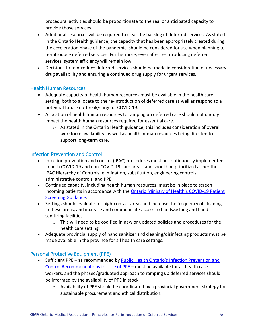procedural activities should be proportionate to the real or anticipated capacity to provide those services.

- Additional resources will be required to clear the backlog of deferred services. As stated in the Ontario Health guidance, the capacity that has been appropriately created during the acceleration phase of the pandemic, should be considered for use when planning to re-introduce deferred services. Furthermore, even after re-introducing deferred services, system efficiency will remain low.
- Decisions to reintroduce deferred services should be made in consideration of necessary drug availability and ensuring a continued drug supply for urgent services.

#### <span id="page-5-0"></span>Health Human Resources

- Adequate capacity of health human resources must be available in the health care setting, both to allocate to the re-introduction of deferred care as well as respond to a potential future outbreak/surge of COVID-19.
- Allocation of health human resources to ramping up deferred care should not unduly impact the health human resources required for essential care.
	- $\circ$  As stated in the Ontario Health guidance, this includes consideration of overall workforce availability, as well as health human resources being directed to support long-term care.

#### <span id="page-5-1"></span>Infection Prevention and Control

- Infection prevention and control (IPAC) procedures must be continuously implemented in both COVID-19 and non-COVID-19 care areas, and should be prioritized as per the IPAC Hierarchy of Controls: elimination, substitution, engineering controls, administrative controls, and PPE.
- Continued capacity, including health human resources, must be in place to screen incoming patients in accordance with the [Ontario Ministry of Health's COVID](http://www.health.gov.on.ca/en/pro/programs/publichealth/coronavirus/docs/2019_patient_screening_guidance.pdf)-19 Patient [Screening Guidance.](http://www.health.gov.on.ca/en/pro/programs/publichealth/coronavirus/docs/2019_patient_screening_guidance.pdf)
- Settings should evaluate for high-contact areas and increase the frequency of cleaning in these areas, and increase and communicate access to handwashing and handsanitizing facilities.
	- $\circ$  This will need to be codified in new or updated policies and procedures for the health care setting.
- Adequate provincial supply of hand sanitizer and cleaning/disinfecting products must be made available in the province for all health care settings.

#### <span id="page-5-2"></span>Personal Protective Equipment (PPE)

- Sufficient PPE as recommended by Public Health Ontario's Infection Prevention and [Control Recommendations for Use of PPE](https://www.publichealthontario.ca/-/media/documents/ncov/updated-ipac-measures-covid-19.pdf?la=en) – must be available for all health care workers, and the phased/graduated approach to ramping up deferred services should be informed by the availability of PPE in stock.
	- o Availability of PPE should be coordinated by a provincial government strategy for sustainable procurement and ethical distribution.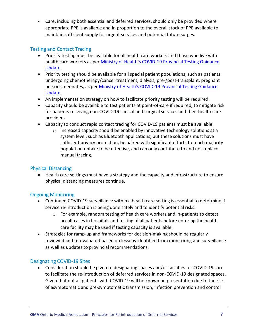• Care, including both essential and deferred services, should only be provided where appropriate PPE is available and in proportion to the overall stock of PPE available to maintain sufficient supply for urgent services and potential future surges.

#### <span id="page-6-0"></span>Testing and Contact Tracing

- Priority testing must be available for all health care workers and those who live with health care workers as per Ministry of Health's COVID[-19 Provincial Testing Guidance](http://www.health.gov.on.ca/en/pro/programs/publichealth/coronavirus/docs/2019_covid_testing_guidance.pdf)  [Update.](http://www.health.gov.on.ca/en/pro/programs/publichealth/coronavirus/docs/2019_covid_testing_guidance.pdf)
- Priority testing should be available for all special patient populations, such as patients undergoing chemotherapy/cancer treatment, dialysis, pre-/post-transplant, pregnant persons, neonates, as per Ministry of Health's COVID[-19 Provincial Testing Guidance](http://www.health.gov.on.ca/en/pro/programs/publichealth/coronavirus/docs/2019_covid_testing_guidance.pdf)  [Update.](http://www.health.gov.on.ca/en/pro/programs/publichealth/coronavirus/docs/2019_covid_testing_guidance.pdf)
- An implementation strategy on how to facilitate priority testing will be required.
- Capacity should be available to test patients at point-of-care if required, to mitigate risk for patients receiving non-COVID-19 clinical and surgical services and their health care providers.
- Capacity to conduct rapid contact tracing for COVID-19 patients must be available.
	- $\circ$  Increased capacity should be enabled by innovative technology solutions at a system level, such as Bluetooth applications, but these solutions must have sufficient privacy protection, be paired with significant efforts to reach majority population uptake to be effective, and can only contribute to and not replace manual tracing.

#### <span id="page-6-1"></span>Physical Distancing

• Health care settings must have a strategy and the capacity and infrastructure to ensure physical distancing measures continue.

#### <span id="page-6-2"></span>Ongoing Monitoring

- Continued COVID-19 surveillance within a health care setting is essential to determine if service re-introduction is being done safely and to identify potential risks.
	- $\circ$  For example, random testing of health care workers and in-patients to detect occult cases in hospitals and testing of all patients before entering the health care facility may be used if testing capacity is available.
- Strategies for ramp-up and frameworks for decision-making should be regularly reviewed and re-evaluated based on lessons identified from monitoring and surveillance as well as updates to provincial recommendations.

#### <span id="page-6-3"></span>Designating COVID-19 Sites

• Consideration should be given to designating spaces and/or facilities for COVID-19 care to facilitate the re-introduction of deferred services in non-COVID-19 designated spaces. Given that not all patients with COVID-19 will be known on presentation due to the risk of asymptomatic and pre-symptomatic transmission, infection prevention and control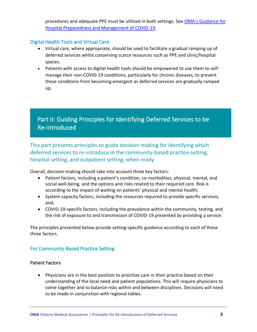procedures and adequate PPE must be utilized in both settings. See OMA's Guidance for [Hospital Preparedness and Management of COVID-19.](https://content.oma.org/wp-content/uploads/private/Guidance-for-Hospital-Preparedness-and-Management-of-COVID.pdf)

#### <span id="page-7-0"></span>Digital Health Tools and Virtual Care

- Virtual care, where appropriate, should be used to facilitate a gradual ramping up of deferred services whilst conserving scarce resources such as PPE and clinic/hospital spaces.
- Patients with access to digital health tools should be empowered to use them to selfmanage their non-COVID-19 conditions, particularly for chronic diseases, to prevent these conditions from becoming emergent as deferred services are gradually ramped up.

# Part II: Guiding Principles for Identifying Deferred Services to be Re-introduced

This part presents principles to guide decision-making for identifying which deferred services to re-introduce in the community-based practice setting, hospital setting, and outpatient setting, when ready l.

Overall, decision-making should take into account three key factors:

- Patient factors, including a patient's condition, co-morbidities, physical, mental, and social well-being, and the options and risks related to their required care. Risk is according to the impact of waiting on patients' physical and mental health;
- System capacity factors, including the resources required to provide specific services; and,
- COVID-19-specific factors, including the prevalence within the community, testing, and the risk of exposure to and transmission of COVID-19 presented by providing a service.

The principles presented below provide setting-specific guidance according to each of these three factors.

#### <span id="page-7-1"></span>For Community-Based Practice Setting

#### <span id="page-7-2"></span>Patient Factors

• Physicians are in the best position to prioritize care in their practice based on their understanding of the local need and patient populations. This will require physicians to come together and to balance risks within and between disciplines. Decisions will need to be made in conjunction with regional tables.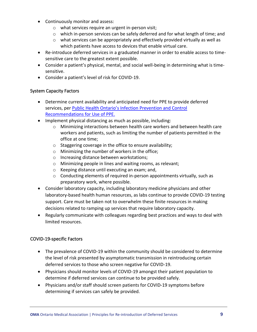- Continuously monitor and assess:
	- o what services require an urgent in-person visit;
	- $\circ$  which in-person services can be safely deferred and for what length of time; and
	- $\circ$  what services can be appropriately and effectively provided virtually as well as which patients have access to devices that enable virtual care.
- Re-introduce deferred services in a graduated manner in order to enable access to timesensitive care to the greatest extent possible.
- Consider a patient's physical, mental, and social well-being in determining what is timesensitive.
- Consider a patient's level of risk for COVID-19.

#### <span id="page-8-0"></span>System Capacity Factors

- Determine current availability and anticipated need for PPE to provide deferred services, per [Public Health Ontario's Infection Prevention and Control](https://www.publichealthontario.ca/-/media/documents/ncov/updated-ipac-measures-covid-19.pdf?la=en)  [Recommendations for Use of PPE.](https://www.publichealthontario.ca/-/media/documents/ncov/updated-ipac-measures-covid-19.pdf?la=en)
- Implement physical distancing as much as possible, including:
	- o Minimizing interactions between health care workers and between health care workers and patients, such as limiting the number of patients permitted in the office at one time;
	- o Staggering coverage in the office to ensure availability;
	- o Minimizing the number of workers in the office;
	- o Increasing distance between workstations;
	- o Minimizing people in lines and waiting rooms, as relevant;
	- o Keeping distance until executing an exam; and,
	- $\circ$  Conducting elements of required in-person appointments virtually, such as preparatory work, where possible.
- Consider laboratory capacity, including laboratory medicine physicians and other laboratory-based health human resources, as labs continue to provide COVID-19 testing support. Care must be taken not to overwhelm these finite resources in making decisions related to ramping up services that require laboratory capacity.
- Regularly communicate with colleagues regarding best practices and ways to deal with limited resources.

#### <span id="page-8-1"></span>COVID-19-specific Factors

- The prevalence of COVID-19 within the community should be considered to determine the level of risk presented by asymptomatic transmission in reintroducing certain deferred services to those who screen negative for COVID-19.
- Physicians should monitor levels of COVID-19 amongst their patient population to determine if deferred services can continue to be provided safely.
- Physicians and/or staff should screen patients for COVID-19 symptoms before determining if services can safely be provided.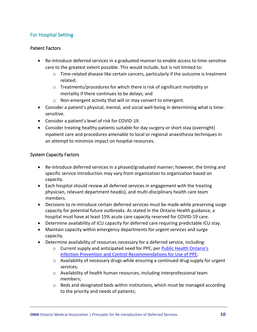## <span id="page-9-0"></span>For Hospital Setting

#### <span id="page-9-1"></span>Patient Factors

- Re-introduce deferred services in a graduated manner to enable access to time-sensitive care to the greatest extent possible. This would include, but is not limited to:
	- o Time-related disease like certain cancers, particularly if the outcome is treatment related;
	- o Treatments/procedures for which there is risk of significant morbidity or mortality if there continues to be delays; and
	- o Non-emergent activity that will or may convert to emergent.
- Consider a patient's physical, mental, and social well-being in determining what is timesensitive.
- Consider a patient's level of risk for COVID-19.
- Consider treating healthy patients suitable for day surgery or short stay (overnight) inpatient care and procedures amenable to local or regional anaesthesia techniques in an attempt to minimize impact on hospital resources.

#### <span id="page-9-2"></span>System Capacity Factors

- Re-introduce deferred services in a phased/graduated manner; however, the timing and specific service introduction may vary from organization to organization based on capacity.
- Each hospital should review all deferred services in engagement with the treating physician, relevant department head(s), and multi-disciplinary health care team members.
- Decisions to re-introduce certain deferred services must be made while preserving surge capacity for potential future outbreaks. As stated in the Ontario Health guidance, a hospital must have at least 15% acute care capacity reserved for COVID-19 care.
- Determine availability of ICU capacity for deferred care requiring predictable ICU stay.
- Maintain capacity within emergency departments for urgent services and surge capacity.
- Determine availability of resources necessary for a deferred service, including:
	- o Current supply and anticipated need for PPE, per [Public Health Ontario's](https://www.publichealthontario.ca/-/media/documents/ncov/updated-ipac-measures-covid-19.pdf?la=en)  [Infection Prevention and Control Recommendations for Use of PPE;](https://www.publichealthontario.ca/-/media/documents/ncov/updated-ipac-measures-covid-19.pdf?la=en)
	- o Availability of necessary drugs while ensuring a continued drug supply for urgent services;
	- o Availability of health human resources, including interprofessional team members;
	- $\circ$  Beds and designated beds within institutions, which must be managed according to the priority and needs of patients;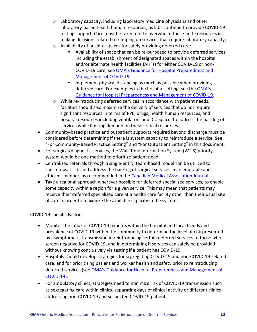- o Laboratory capacity, including laboratory medicine physicians and other laboratory-based health human resources, as labs continue to provide COVID-19 testing support. Care must be taken not to overwhelm these finite resources in making decisions related to ramping up services that require laboratory capacity;
- o Availability of hospital spaces for safely providing deferred care:
	- Availability of space that can be re-purposed to provide deferred services, including the establishment of designated spaces within the hospital and/or alternate health facilities (AHFs) for either COVID-19 or non-COVID-19 care; see [OMA's Guidance for Hospital Preparedness and](https://content.oma.org/wp-content/uploads/private/Guidance-for-Hospital-Preparedness-and-Management-of-COVID.pdf)  [Management of COVID-19.](https://content.oma.org/wp-content/uploads/private/Guidance-for-Hospital-Preparedness-and-Management-of-COVID.pdf)
	- Implement physical distancing as much as possible when providing deferred care. For examples in the hospital setting, see the [OMA's](https://content.oma.org/wp-content/uploads/private/Guidance-for-Hospital-Preparedness-and-Management-of-COVID.pdf)  [Guidance for Hospital Preparedness and Management of COVID-19.](https://content.oma.org/wp-content/uploads/private/Guidance-for-Hospital-Preparedness-and-Management-of-COVID.pdf)
- o While re-introducing deferred services in accordance with patient needs, facilities should also maximize the delivery of services that do not require significant resources in terms of PPE, drugs, health human resources, and hospital resources including ventilators and ICU space, to address the backlog of services while limiting demand on these critical resources.
- Community-based practice and outpatient supports required beyond discharge must be considered before determining if there is system capacity to reintroduce a service. See "For Community-Based Practice Setting" and "For Outpatient Setting" in this document.
- For surgical/diagnostic services, the Wait Time Information System (WTIS) priority system would be one method to prioritize patient need.
- Centralized referrals through a single-entry, team-based model can be utilized to shorten wait lists and address the backlog of surgical services in an equitable and efficient manner, as recommended in the [Canadian Medical Association Journal.](https://www.cmaj.ca/content/cmaj/early/2020/05/06/cmaj.200791.full.pdf)
- Take a regional approach wherever possible for deferred specialized services, to enable some capacity within a region for a given service. This may mean that patients may receive their deferred specialized care at a health care facility other than their usual site of care in order to maximize the available capacity in the system.

#### <span id="page-10-0"></span>COVID-19-specific Factors

- Monitor the influx of COVID-19 patients within the hospital and local trends and prevalence of COVID-19 within the community to determine the level of risk presented by asymptomatic transmission in reintroducing certain deferred services to those who screen negative for COVID-19, and in determining if services can safely be provided without knowing conclusively via testing if a patient has COVID-19.
- Hospitals should develop strategies for segregating COVID-19 and non-COVID-19-related care, and for prioritizing patient and worker health and safety prior to reintroducing deferred services (see [OMA's Guidance for Hospital Preparedness and Management of](https://content.oma.org/wp-content/uploads/private/Guidance-for-Hospital-Preparedness-and-Management-of-COVID.pdf)  [COVID-19\).](https://content.oma.org/wp-content/uploads/private/Guidance-for-Hospital-Preparedness-and-Management-of-COVID.pdf)
- For ambulatory clinics, strategies need to minimize risk of COVID-19 transmission such as segregating care within clinics, separating days of clinical activity or different clinics addressing non-COVID-19 and suspected COVID-19 patients.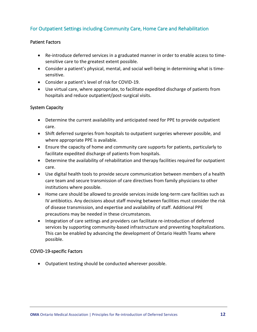#### <span id="page-11-0"></span>For Outpatient Settings including Community Care, Home Care and Rehabilitation

#### <span id="page-11-1"></span>Patient Factors

- Re-introduce deferred services in a graduated manner in order to enable access to timesensitive care to the greatest extent possible.
- Consider a patient's physical, mental, and social well-being in determining what is timesensitive.
- Consider a patient's level of risk for COVID-19.
- Use virtual care, where appropriate, to facilitate expedited discharge of patients from hospitals and reduce outpatient/post-surgical visits.

#### <span id="page-11-2"></span>System Capacity

- Determine the current availability and anticipated need for PPE to provide outpatient care.
- Shift deferred surgeries from hospitals to outpatient surgeries wherever possible, and where appropriate PPE is available.
- Ensure the capacity of home and community care supports for patients, particularly to facilitate expedited discharge of patients from hospitals.
- Determine the availability of rehabilitation and therapy facilities required for outpatient care.
- Use digital health tools to provide secure communication between members of a health care team and secure transmission of care directives from family physicians to other institutions where possible.
- Home care should be allowed to provide services inside long-term care facilities such as IV antibiotics. Any decisions about staff moving between facilities must consider the risk of disease transmission, and expertise and availability of staff. Additional PPE precautions may be needed in these circumstances.
- Integration of care settings and providers can facilitate re-introduction of deferred services by supporting community-based infrastructure and preventing hospitalizations. This can be enabled by advancing the development of Ontario Health Teams where possible.

#### <span id="page-11-3"></span>COVID-19-specific Factors

• Outpatient testing should be conducted wherever possible.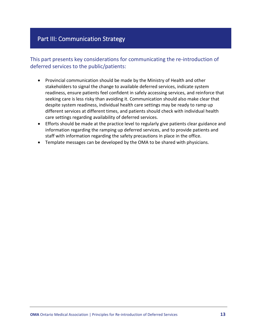# Part III: Communication Strategy

This part presents key considerations for communicating the re-introduction of deferred services to the public/patients:

- Provincial communication should be made by the Ministry of Health and other stakeholders to signal the change to available deferred services, indicate system readiness, ensure patients feel confident in safely accessing services, and reinforce that seeking care is less risky than avoiding it. Communication should also make clear that despite system readiness, individual health care settings may be ready to ramp up different services at different times, and patients should check with individual health care settings regarding availability of deferred services.
- Efforts should be made at the practice level to regularly give patients clear guidance and information regarding the ramping up deferred services, and to provide patients and staff with information regarding the safety precautions in place in the office.
- Template messages can be developed by the OMA to be shared with physicians.